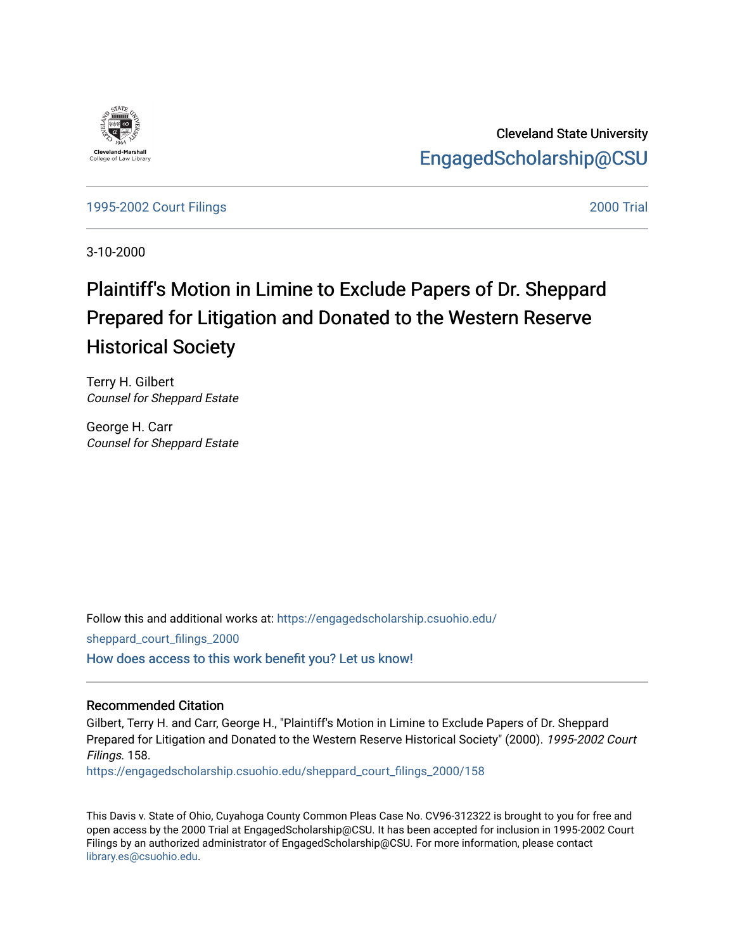

Cleveland State University [EngagedScholarship@CSU](https://engagedscholarship.csuohio.edu/) 

[1995-2002 Court Filings](https://engagedscholarship.csuohio.edu/sheppard_court_filings_2000) [2000 Trial](https://engagedscholarship.csuohio.edu/sheppard_2000_trial) 

3-10-2000

# Plaintiff's Motion in Limine to Exclude Papers of Dr. Sheppard Prepared for Litigation and Donated to the Western Reserve Historical Society

Terry H. Gilbert Counsel for Sheppard Estate

George H. Carr Counsel for Sheppard Estate

Follow this and additional works at: [https://engagedscholarship.csuohio.edu/](https://engagedscholarship.csuohio.edu/sheppard_court_filings_2000?utm_source=engagedscholarship.csuohio.edu%2Fsheppard_court_filings_2000%2F158&utm_medium=PDF&utm_campaign=PDFCoverPages) [sheppard\\_court\\_filings\\_2000](https://engagedscholarship.csuohio.edu/sheppard_court_filings_2000?utm_source=engagedscholarship.csuohio.edu%2Fsheppard_court_filings_2000%2F158&utm_medium=PDF&utm_campaign=PDFCoverPages)  [How does access to this work benefit you? Let us know!](http://library.csuohio.edu/engaged/)

#### Recommended Citation

Gilbert, Terry H. and Carr, George H., "Plaintiff's Motion in Limine to Exclude Papers of Dr. Sheppard Prepared for Litigation and Donated to the Western Reserve Historical Society" (2000). 1995-2002 Court Filings. 158.

[https://engagedscholarship.csuohio.edu/sheppard\\_court\\_filings\\_2000/158](https://engagedscholarship.csuohio.edu/sheppard_court_filings_2000/158?utm_source=engagedscholarship.csuohio.edu%2Fsheppard_court_filings_2000%2F158&utm_medium=PDF&utm_campaign=PDFCoverPages) 

This Davis v. State of Ohio, Cuyahoga County Common Pleas Case No. CV96-312322 is brought to you for free and open access by the 2000 Trial at EngagedScholarship@CSU. It has been accepted for inclusion in 1995-2002 Court Filings by an authorized administrator of EngagedScholarship@CSU. For more information, please contact [library.es@csuohio.edu.](mailto:library.es@csuohio.edu)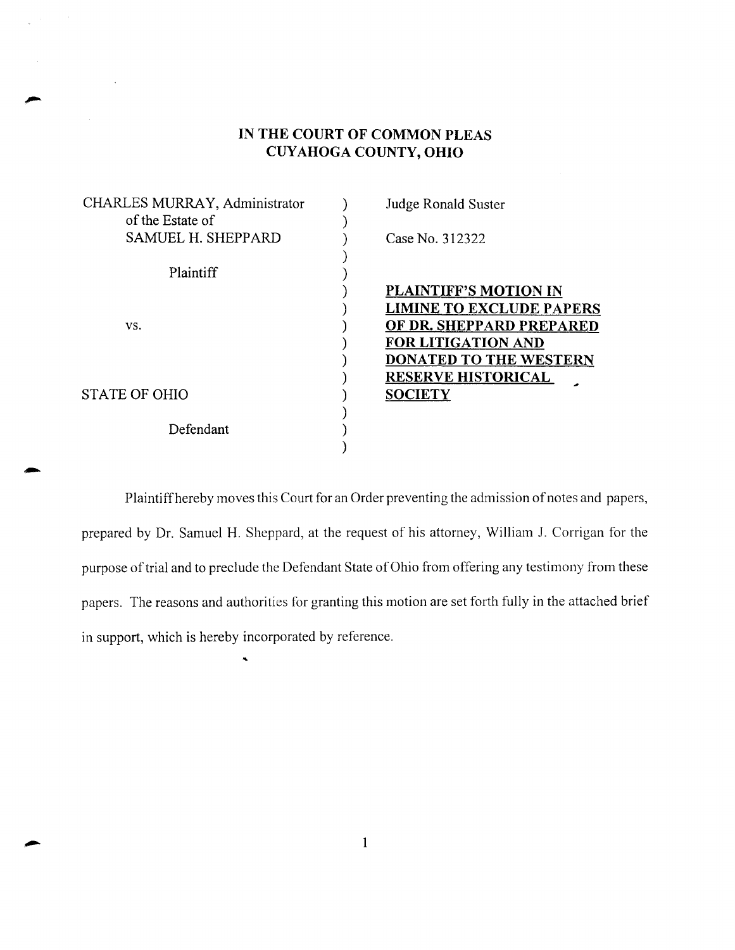# **IN THE COURT OF COMMON PLEAS CUYAHOGA COUNTY, OHIO**

| CHARLES MURRAY, Administrator | Judge Ronald Suster             |
|-------------------------------|---------------------------------|
| of the Estate of              |                                 |
| SAMUEL H. SHEPPARD            | Case No. 312322                 |
| Plaintiff                     |                                 |
|                               | <b>PLAINTIFF'S MOTION IN</b>    |
|                               | <b>LIMINE TO EXCLUDE PAPERS</b> |
| VS.                           | OF DR. SHEPPARD PREPARED        |
|                               | <b>FOR LITIGATION AND</b>       |
|                               | <b>DONATED TO THE WESTERN</b>   |
|                               | <b>RESERVE HISTORICAL</b>       |
| STATE OF OHIO                 | <b>SOCIETY</b>                  |
|                               |                                 |
| Defendant                     |                                 |
|                               |                                 |

Plaintiff hereby moves this Court for an Order preventing the admission of notes and papers, prepared by Dr. Samuel H. Sheppard, at the request of his attorney, William J. Corrigan for the purpose of trial and to preclude the Defendant State of Ohio from offering any testimony from these papers. The reasons and authorities for granting this motion are set forth fully in the attached brief in support, which is hereby incorporated by reference.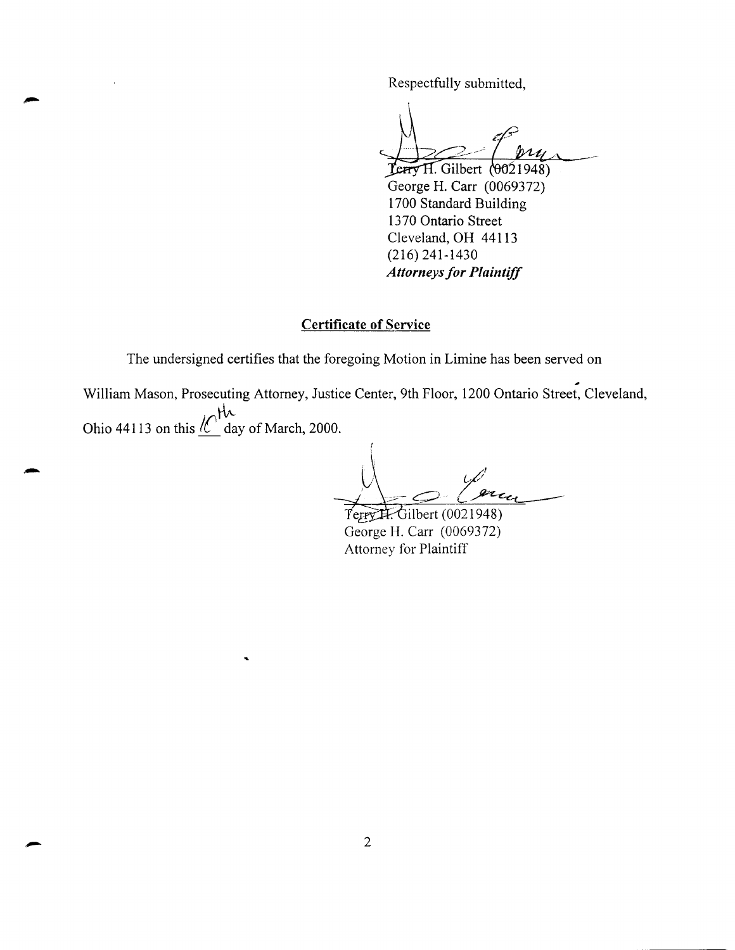Respectfully submitted,

 $Term H. Gilbert (0021948)$ George H. Carr (0069372) 1700 Standard Building 1370 Ontario Street Cleveland, OH 44113 (216) 241-1430 *Attorneys for Plaintiff* 

## Certificate of Service

The undersigned certifies that the foregoing Motion in Limine has been served on

.# William Mason, Prosecuting Attorney, Justice Center, 9th Floor, 1200 Ontario Street, Cleveland, tl'- Ohio 44113 on this  $\frac{\ell}{\ell}$  day of March, 2000.

 $\varphi'$  $x_{\epsilon_d}$ 

**Terry H. Gilbert (0021948)** George H. Carr (0069372) Attorney for Plaintiff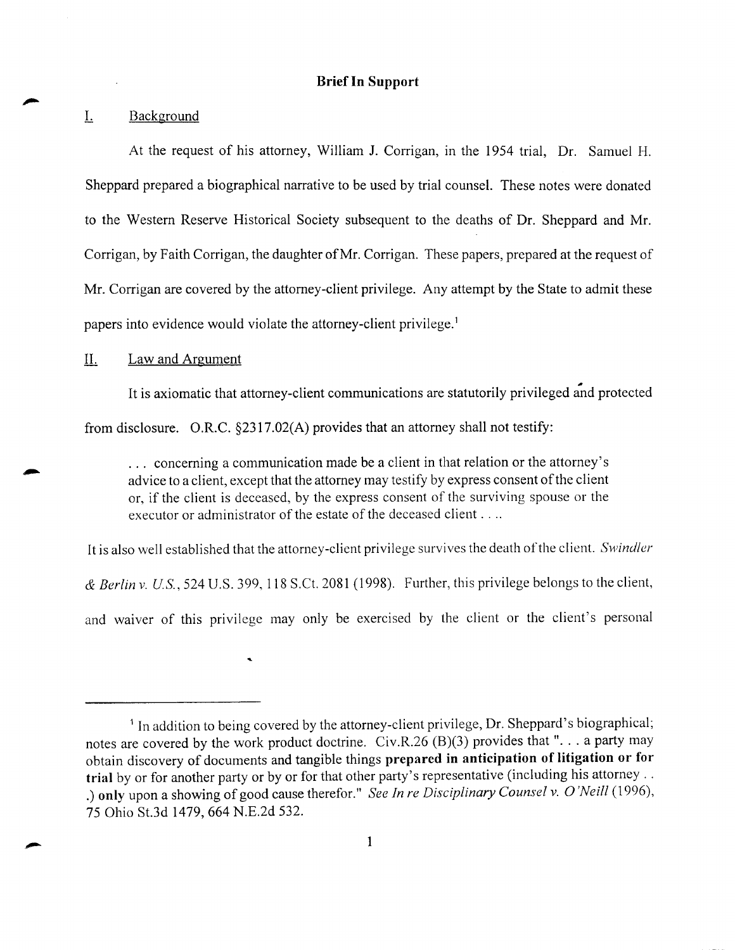## **Brief In Support**

#### L Background

At the request of his attorney, William J. Corrigan, in the 1954 trial, Dr. Samuel H. Sheppard prepared a biographical narrative to be used by trial counsel. These notes were donated to the Western Reserve Historical Society subsequent to the deaths of Dr. Sheppard and Mr. Corrigan, by Faith Corrigan, the daughter of Mr. Corrigan. These papers, prepared at the request of Mr. Corrigan are covered by the attorney-client privilege. Any attempt by the State to admit these papers into evidence would violate the attorney-client privilege. <sup>1</sup>

### IL Law and Argument

It is axiomatic that attorney-client communications are statutorily privileged and protected from disclosure. O.R.C. §2317.02(A) provides that an attorney shall not testify:

... concerning a communication made be a client in that relation or the attorney's advice to a client, except that the attorney may testify by express consent of the client or, if the client is deceased, by the express consent of the surviving spouse or the executor or administrator of the estate of the deceased client ....

It is also well established that the attorney-client privilege survives the death of the client. *Swindler* 

& *Berlin v. US,* 524 U.S. 399, 118 S.Ct. 2081 (1998). Further, this privilege belongs to the client,

and waiver of this privilege may only be exercised by the client or the client's personal

<sup>&</sup>lt;sup>1</sup> In addition to being covered by the attorney-client privilege, Dr. Sheppard's biographical; notes are covered by the work product doctrine. Civ.R.26 (B)(3) provides that "... a party may obtain discovery of documents and tangible things **prepared in anticipation of litigation or for trial** by or for another party or by or for that other party's representative (including his attorney .. . ) **only** upon a showing of good cause therefor." *See In re Disciplinary Counsel v.* 0 *'Neill* (1996), 75 Ohio St.3d 1479, 664 N.E.2d 532.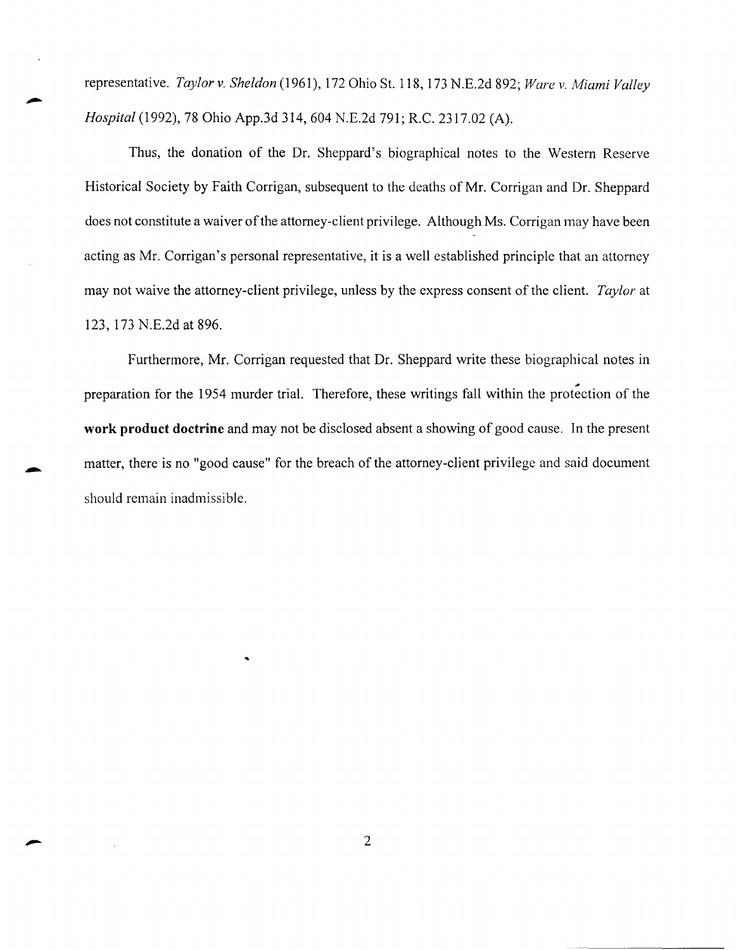representative. *Taylor v. Sheldon* (1961), 172 Ohio St. 118, 173 N.E.2d 892; *Ware v. Miami Valley Hospital* (1992), 78 Ohio App.3d 314, 604 N.E.2d 791; R.C. 2317.02 (A).

Thus, the donation of the Dr. Sheppard's biographical notes to the Western Reserve Historical Society by Faith Corrigan, subsequent to the deaths of Mr. Corrigan and Dr. Sheppard does not constitute a waiver of the attorney-client privilege. Although Ms. Corrigan may have been acting as Mr. Corrigan's personal representative, it is a well established principle that an attorney may not waive the attorney-client privilege, unless by the express consent of the client. *Taylor* at 123, 173 N.E.2d at 896.

Furthermore, Mr. Corrigan requested that Dr. Sheppard write these biographical notes in ., preparation for the 1954 murder trial. Therefore, these writings fall within the protection of the **work product doctrine** and may not be disclosed absent a showing of good cause. In the present matter, there is no "good cause" for the breach of the attorney-client privilege and said document should remain inadmissible .

...